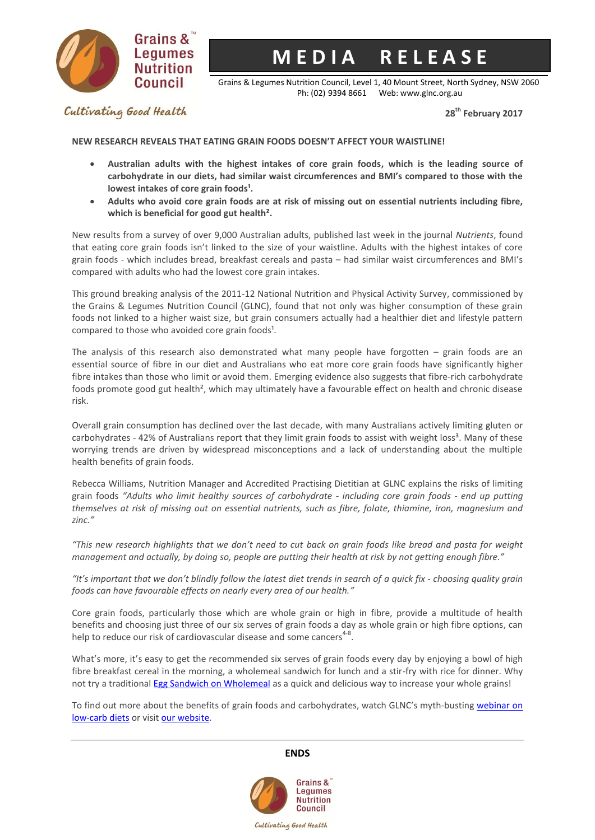

# **M E D I A R E L E A S E**

Grains & Legumes Nutrition Council, Level 1, 40 Mount Street, North Sydney, NSW 2060 Ph: (02) 9394 8661 Web: www.glnc.org.au

**28th February 2017**

Cultivating Good Health

**NEW RESEARCH REVEALS THAT EATING GRAIN FOODS DOESN'T AFFECT YOUR WAISTLINE!** 

- **Australian adults with the highest intakes of core grain foods, which is the leading source of carbohydrate in our diets, had similar waist circumferences and BMI's compared to those with the**  lowest intakes of core grain foods<sup>1</sup>.
- **Adults who avoid core grain foods are at risk of missing out on essential nutrients including fibre, which is beneficial for good gut health².**

New results from a survey of over 9,000 Australian adults, published last week in the journal *Nutrients*, found that eating core grain foods isn't linked to the size of your waistline. Adults with the highest intakes of core grain foods - which includes bread, breakfast cereals and pasta – had similar waist circumferences and BMI's compared with adults who had the lowest core grain intakes.

This ground breaking analysis of the 2011-12 National Nutrition and Physical Activity Survey, commissioned by the Grains & Legumes Nutrition Council [\(GLNC\)](http://www.glnc.org.au/), found that not only was higher consumption of these grain foods not linked to a higher waist size, but grain consumers actually had a healthier diet and lifestyle pattern compared to those who avoided core grain foods<sup>1</sup>.

The analysis of this research also demonstrated what many people have forgotten  $-$  grain foods are an essential source of fibre in our diet and Australians who eat more core grain foods have significantly higher fibre intakes than those who limit or avoid them. Emerging evidence also suggests that fibre-rich carbohydrate foods promote good gut health<sup>2</sup>, which may ultimately have a favourable effect on health and chronic disease risk.

Overall grain consumption has declined over the last decade, with many Australians actively limiting gluten or carbohydrates - 42% of Australians report that they limit grain foods to assist with weight loss<sup>3</sup>. Many of these worrying trends are driven by widespread misconceptions and a lack of understanding about the multiple health benefits of grain foods.

Rebecca Williams, Nutrition Manager and Accredited Practising Dietitian at GLNC explains the risks of limiting grain foods *"Adults who limit healthy sources of carbohydrate - including core grain foods - end up putting themselves at risk of missing out on essential nutrients, such as fibre, folate, thiamine, iron, magnesium and zinc."*

*"This new research highlights that we don't need to cut back on grain foods like bread and pasta for weight management and actually, by doing so, people are putting their health at risk by not getting enough fibre."*

*"It's important that we don't blindly follow the latest diet trends in search of a quick fix - choosing quality grain foods can have favourable effects on nearly every area of our health."*

Core grain foods, particularly those which are whole grain or high in fibre, provide a multitude of health benefits and choosing just three of our six serves of grain foods a day as whole grain or high fibre options, can help to reduce our risk of cardiovascular disease and some cancers<sup>4-8</sup>.

What's more, it's easy to get the recommended six serves of grain foods every day by enjoying a bowl of high fibre breakfast cereal in the morning, a wholemeal sandwich for lunch and a stir-fry with rice for dinner. Why not try a traditional Egg Sandwich [on Wholemeal](http://bit.ly/2kqHZdt) as a quick and delicious way to increase your whole grains!

To find out more about the benefits of grain foods and carbohydrates, watch GLNC's myth-busting webinar on [low-carb diets](https://www.youtube.com/watch?v=ptpTldV65qk&t=219s) or visit our [website.](http://www.glnc.org.au/)

# **ENDS**



Cultivating Good Health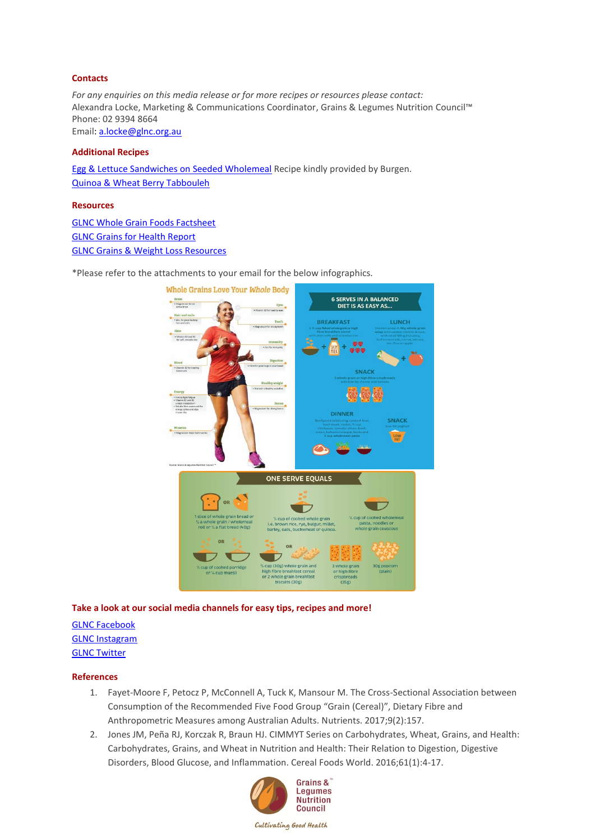### **Contacts**

*For any enquiries on this media release or for more recipes or resources please contact:* Alexandra Locke, Marketing & Communications Coordinator, Grains & Legumes Nutrition Council™ Phone: 02 9394 8664 Email: [a.locke@glnc.org.au](mailto:a.locke@glnc.org.au)

#### **Additional Recipes**

[Egg & Lettuce Sandwiches on Seeded Wholemeal](http://bit.ly/2kqHZdt) Recipe kindly provided by Burgen. [Quinoa & Wheat Berry](http://bit.ly/2jh7X62) Tabbouleh

#### **Resources**

[GLNC Whole Grain Foods Factsheet](http://www.glnc.org.au/wp-content/uploads/2011/04/Whole-Grain-Foods_Consumer.pdf) [GLNC Grains for Health Report](http://www.glnc.org.au/wp-content/uploads/2014/10/Grains-for-Health-Report-FINAL.pdf) [GLNC Grains & Weight Loss Resources](http://www.glnc.org.au/grains-2/grains-and-health/weightloss/)

\*Please refer to the attachments to your email for the below infographics.



## **Take a look at our social media channels for easy tips, recipes and more!**

# [GLNC Facebook](https://www.facebook.com/GrainsLegumesNC/) [GLNC Instagram](https://www.instagram.com/grainslegumesnc/) [GLNC Twitter](https://twitter.com/GrainsLegumesNC)

#### **References**

- 1. Fayet-Moore F, Petocz P, McConnell A, Tuck K, Mansour M. The Cross-Sectional Association between Consumption of the Recommended Five Food Group "Grain (Cereal)", Dietary Fibre and Anthropometric Measures among Australian Adults. Nutrients. 2017;9(2):157.
- 2. Jones JM, Peña RJ, Korczak R, Braun HJ. CIMMYT Series on Carbohydrates, Wheat, Grains, and Health: Carbohydrates, Grains, and Wheat in Nutrition and Health: Their Relation to Digestion, Digestive Disorders, Blood Glucose, and Inflammation. Cereal Foods World. 2016;61(1):4-17.



Cultivating Good Health